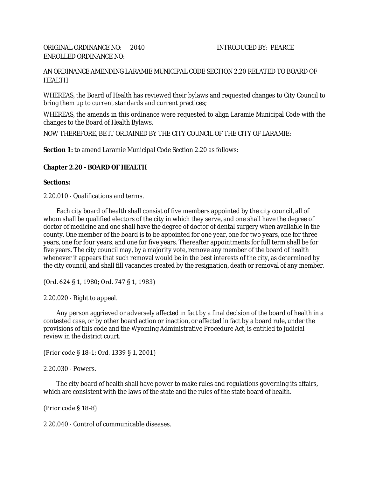AN ORDINANCE AMENDING LARAMIE MUNICIPAL CODE SECTION 2.20 RELATED TO BOARD OF HEALTH

WHEREAS, the Board of Health has reviewed their bylaws and requested changes to City Council to bring them up to current standards and current practices;

WHEREAS, the amends in this ordinance were requested to align Laramie Municipal Code with the changes to the Board of Health Bylaws.

NOW THEREFORE, BE IT ORDAINED BY THE CITY COUNCIL OF THE CITY OF LARAMIE:

**Section 1:** to amend Laramie Municipal Code Section 2.20 as follows:

## **Chapter 2.20 - BOARD OF HEALTH**

## **Sections:**

2.20.010 - Qualifications and terms.

Each city board of health shall consist of five members appointed by the city council, all of whom shall be qualified electors of the city in which they serve, and one shall have the degree of doctor of medicine and one shall have the degree of doctor of dental surgery when available in the county. One member of the board is to be appointed for one year, one for two years, one for three years, one for four years, and one for five years. Thereafter appointments for full term shall be for five years. The city council may, by a majority vote, remove any member of the board of health whenever it appears that such removal would be in the best interests of the city, as determined by the city council, and shall fill vacancies created by the resignation, death or removal of any member.

(Ord. 624 § 1, 1980; Ord. 747 § 1, 1983)

2.20.020 - Right to appeal.

Any person aggrieved or adversely affected in fact by a final decision of the board of health in a contested case, or by other board action or inaction, or affected in fact by a board rule, under the provisions of this code and the Wyoming Administrative Procedure Act, is entitled to judicial review in the district court.

(Prior code § 18-1; Ord. 1339 § 1, 2001)

2.20.030 - Powers.

The city board of health shall have power to make rules and regulations governing its affairs, which are consistent with the laws of the state and the rules of the state board of health.

(Prior code § 18-8)

2.20.040 - Control of communicable diseases.